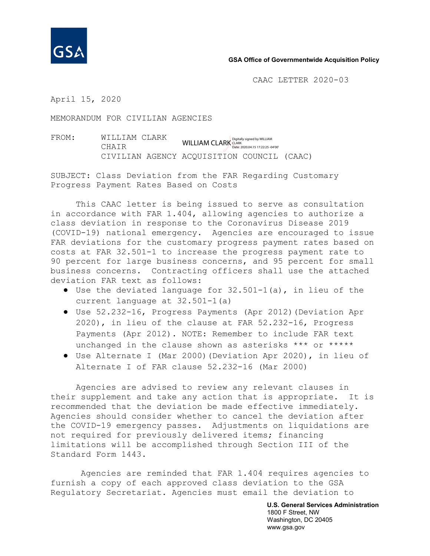

## **GSA Office of Governmentwide Acquisition Policy**

CAAC LETTER 2020-03

April 15, 2020

MEMORANDUM FOR CIVILIAN AGENCIES

FROM: WILLIAM CLARK CHAIR CIVILIAN AGENCY ACQUISITION COUNCIL (CAAC) WILLIAM CLARK CLARK CLARK CLARK CLARK 2020.04.15 17:22:25 -04'00'

SUBJECT: Class Deviation from the FAR Regarding Customary Progress Payment Rates Based on Costs

This CAAC letter is being issued to serve as consultation in accordance with FAR 1.404, allowing agencies to authorize a class deviation in response to the Coronavirus Disease 2019 (COVID-19) national emergency. Agencies are encouraged to issue FAR deviations for the customary progress payment rates based on costs at FAR 32.501-1 to increase the progress payment rate to 90 percent for large business concerns, and 95 percent for small business concerns. Contracting officers shall use the attached deviation FAR text as follows:

- $\bullet$  Use the deviated language for 32.501-1(a), in lieu of the current language at 32.501-1(a)
- Use 52.232-16, Progress Payments (Apr 2012)(Deviation Apr 2020), in lieu of the clause at FAR 52.232-16, Progress Payments (Apr 2012). NOTE: Remember to include FAR text unchanged in the clause shown as asterisks \*\*\* or \*\*\*\*\*
- Use Alternate I (Mar 2000)(Deviation Apr 2020), in lieu of Alternate I of FAR clause 52.232-16 (Mar 2000)

Agencies are advised to review any relevant clauses in their supplement and take any action that is appropriate. It is recommended that the deviation be made effective immediately. Agencies should consider whether to cancel the deviation after the COVID-19 emergency passes. Adjustments on liquidations are not required for previously delivered items; financing limitations will be accomplished through Section III of the Standard Form 1443.

Agencies are reminded that FAR 1.404 requires agencies to furnish a copy of each approved class deviation to the GSA Regulatory Secretariat. Agencies must email the deviation to

> **U.S. General Services Administration** 1800 F Street, NW Washington, DC 20405 www.gsa.gov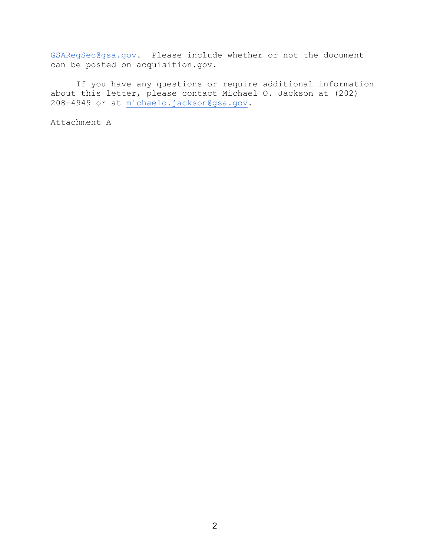[GSARegSec@gsa.gov.](mailto:GSARegSec@gsa.gov) Please include whether or not the document can be posted on acquisition.gov.

If you have any questions or require additional information about this letter, please contact Michael O. Jackson at (202) 208-4949 or at [michaelo.jackson@gsa.gov.](mailto:michaelo.jackson@gsa.gov)

Attachment A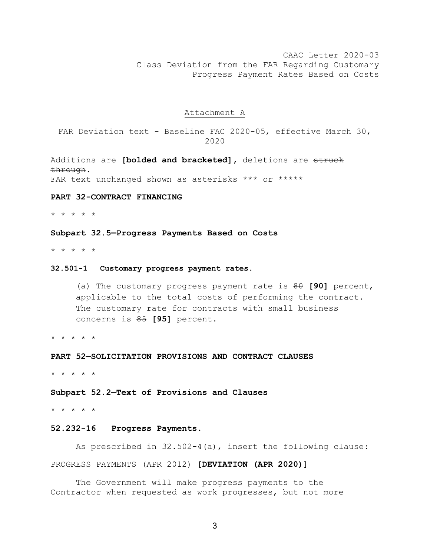CAAC Letter 2020-03 Class Deviation from the FAR Regarding Customary Progress Payment Rates Based on Costs

## Attachment A

FAR Deviation text - Baseline FAC 2020-05, effective March 30, 2020

Additions are **[bolded and bracketed],** deletions are struck through.

FAR text unchanged shown as asterisks \*\*\* or \*\*\*\*\*

# **PART 32-CONTRACT FINANCING**

\* \* \* \* \*

## **Subpart 32.5—Progress Payments Based on Costs**

\* \* \* \* \*

## **32.501-1 Customary progress payment rates.**

(a) The customary progress payment rate is 80 **[90]** percent, applicable to the total costs of performing the contract. The customary rate for contracts with small business concerns is 85 **[95]** percent.

\* \* \* \* \*

**PART 52—SOLICITATION PROVISIONS AND CONTRACT CLAUSES**

\* \* \* \* \*

**Subpart 52.2—Text of Provisions and Clauses**

\* \* \* \* \*

## **52.232-16 Progress Payments.**

As prescribed in 32.502-4(a), insert the following clause: PROGRESS PAYMENTS (APR 2012) **[DEVIATION (APR 2020)]**

The Government will make progress payments to the Contractor when requested as work progresses, but not more